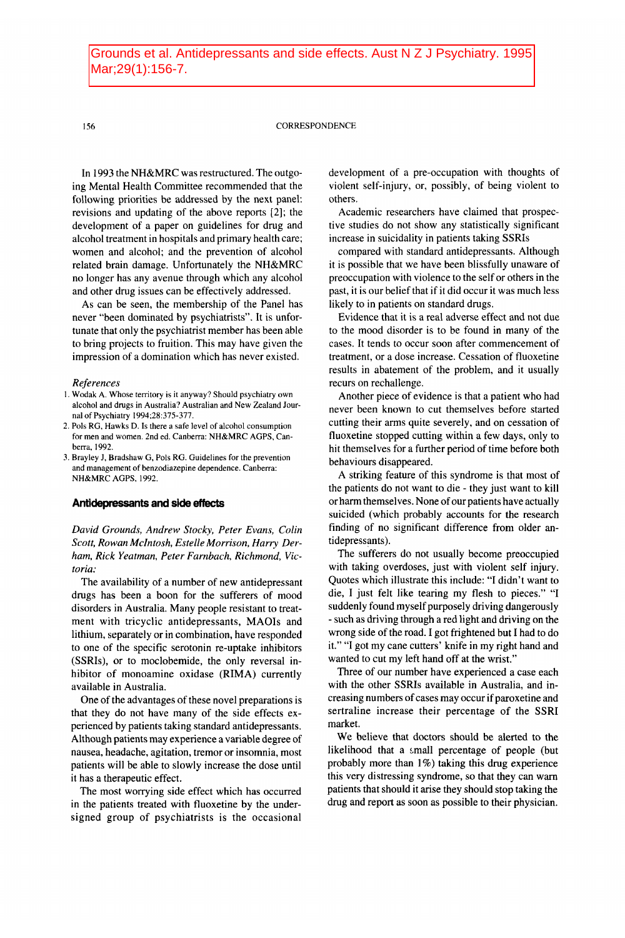## **156** CORRESPONDENCE

In 1993 the NH&MRC was restructured. The outgoing Mental Health Committee recommended that the following priorities be addressed by the next panel: revisions and updating of the above reports *[2];* the development of a paper on guidelines for drug and alcohol treatment in hospitals and primary health care; women and alcohol; and the prevention of alcohol related brain damage. Unfortunately the NH&MRC no longer has any avenue through which any alcohol and other drug issues can be effectively addressed.

As can be seen, the membership of the Panel has never "been dominated by psychiatrists". It is unfortunate that only the psychiatrist member has been able to bring projects to fruition. This may have given the impression of a domination which has never existed.

## *References*

- 1 Wodak A. Whose territory is it anyway? Should psychiatry own alcohol and drugs in Australia? Australian and New Zealand Journal of Psychiatry 1994;28:375-377.
- *i.* Pols RG, Hawks D. Is there a safe level of alcohol consumption for men and women. 2nd ed. Canberra: NH&MRC AGPS, Canberra, 1992.
- 3. Brayley J, Bradshaw G, Pols **RG.** Guidelines for the prevention and management of benzodiazepine dependence. Canberra: NH&MRC AGPS, 1992.

# **Antidepressants and side** *effects*

*David Grounds, Andrew Stocky, Peter Evans, Colin Scott, Rowan Mclntosh, Estelle Morrison, Harry Derham, Rick Yeatman, Peter Farnbach, Richmond, Victoria:* 

The availability of a number of new antidepressant drugs has been a boon for the sufferers of mood disorders in Australia. Many people resistant to treatment with tricyclic antidepressants, MAOIs and lithium, separately or in combination, have responded to one of the specific serotonin re-uptake inhibitors (SSRIs), or to moclobemide, the only reversal inhibitor **of** monoamine oxidase (RIMA) currently available in Australia.

One of the advantages of these novel preparations is that they do not have many of the side effects experienced by patients taking standard antidepressants. Although patients may experience a variable degree of nausea, headache, agitation, tremor or insomnia, most patients will be able to slowly increase the dose until it has a therapeutic effect.

The most worrying side effect which has occurred in the patients treated with fluoxetine by the undersigned group of psychiatrists is the occasional

development of a pre-occupation with thoughts of violent self-injury, or, possibly, of being violent to others.

Academic researchers have claimed that prospective studies do not show any statistically significant increase in suicidality in patients taking SSRIs

compared with standard antidepressants. Although it is possible that we have been blissfully unaware of preoccupation with violence to the self or others in the past, it is our belief that if it did occur it was much less likely to in patients on standard drugs.

Evidence that it is a real adverse effect and not due to the mood disorder is to be found in many of the cases. It tends to occur soon after commencement of treatment, or a dose increase. Cessation of fluoxetine results in abatement of the problem, and it usually recurs on rechallenge.

Another piece of evidence is that a patient who had never been known to cut themselves before started cutting their arms quite severely, and on cessation of fluoxetine stopped cutting within a few days, only to hit themselves for a further period of time before both behaviours disappeared.

**A** striking feature of this syndrome is that most of the patients do not want to die - they just want to kill or harm themselves. None of our patients have actually suicided (which probably accounts for the research finding of no significant difference from older antidepressants).

The sufferers do not usually become preoccupied with taking overdoses, just with violent self injury. Quotes which illustrate this include: "I didn't want to die, **I** just felt like tearing my flesh to pieces." **"I**  suddenly found myself purposely driving dangerously - such as driving through a red light and driving on the wrong side of the road. **I** got frightened but I had to do it." **"I** got my cane cutters' knife in my right hand and wanted to cut my left hand off at the wrist."

Three of our number have experienced a case each with the other SSRIs available in Australia, and increasing numbers of cases may occur if paroxetine and sertraline increase their percentage of the SSRI market.

We believe that doctors should be alerted to the likelihood that a small percentage of people (but probably more than **1%)** taking this drug experience this very distressing syndrome, so that they can warn patients that should it arise they should stop taking the drug and report as soon as possible to their physician.